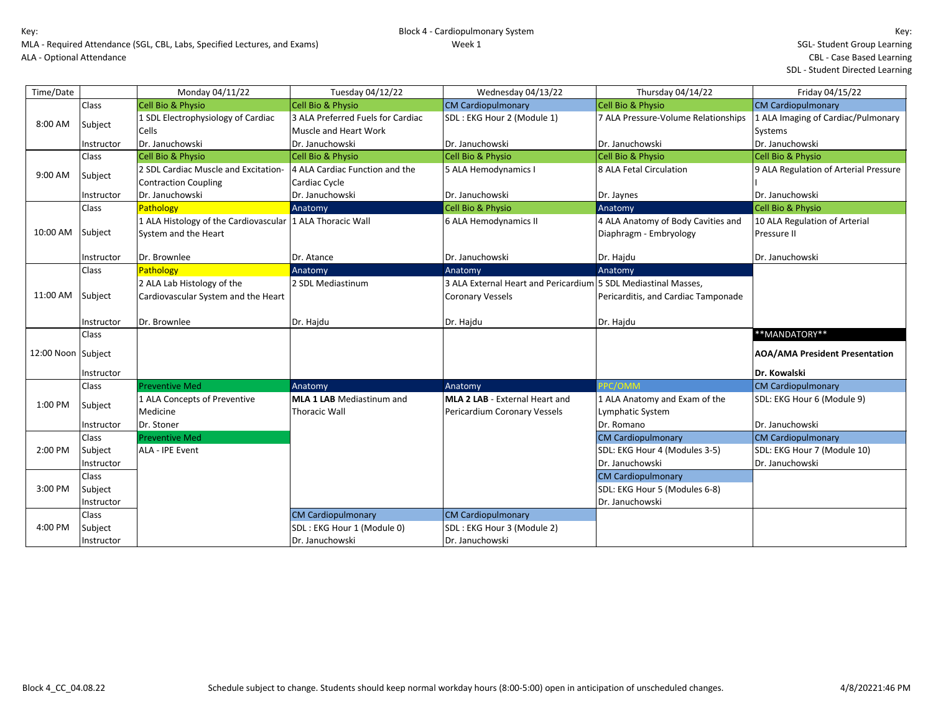| Time/Date          |              | Monday 04/11/22                       | Tuesday 04/12/22                  | Wednesday 04/13/22                                             | Thursday 04/14/22                   | Friday 04/15/22                       |
|--------------------|--------------|---------------------------------------|-----------------------------------|----------------------------------------------------------------|-------------------------------------|---------------------------------------|
|                    | Class        | <b>Cell Bio &amp; Physio</b>          | <b>Cell Bio &amp; Physio</b>      | <b>CM Cardiopulmonary</b>                                      | Cell Bio & Physio                   | <b>CM Cardiopulmonary</b>             |
| 8:00 AM            |              | 1 SDL Electrophysiology of Cardiac    | 3 ALA Preferred Fuels for Cardiac | SDL : EKG Hour 2 (Module 1)                                    | 7 ALA Pressure-Volume Relationships | 1 ALA Imaging of Cardiac/Pulmonary    |
|                    | Subject      | <b>Cells</b>                          | Muscle and Heart Work             |                                                                |                                     | Systems                               |
|                    | Instructor   | Dr. Januchowski                       | Dr. Januchowski                   | Dr. Januchowski                                                | Dr. Januchowski                     | Dr. Januchowski                       |
|                    | Class        | <b>Cell Bio &amp; Physio</b>          | <b>Cell Bio &amp; Physio</b>      | Cell Bio & Physio                                              | Cell Bio & Physio                   | Cell Bio & Physio                     |
| 9:00 AM            | Subject      | 2 SDL Cardiac Muscle and Excitation-  | 4 ALA Cardiac Function and the    | 5 ALA Hemodynamics I                                           | 8 ALA Fetal Circulation             | 9 ALA Regulation of Arterial Pressure |
|                    |              | <b>Contraction Coupling</b>           | Cardiac Cycle                     |                                                                |                                     |                                       |
|                    | Instructor   | Dr. Januchowski                       | Dr. Januchowski                   | Dr. Januchowski                                                | Dr. Jaynes                          | Dr. Januchowski                       |
|                    | Class        | <b>Pathology</b>                      | Anatomy                           | Cell Bio & Physio                                              | Anatomy                             | Cell Bio & Physio                     |
|                    |              | 1 ALA Histology of the Cardiovascular | 1 ALA Thoracic Wall               | 6 ALA Hemodynamics II                                          | 4 ALA Anatomy of Body Cavities and  | 10 ALA Regulation of Arterial         |
| 10:00 AM           | Subject      | System and the Heart                  |                                   |                                                                | Diaphragm - Embryology              | Pressure II                           |
|                    |              |                                       |                                   |                                                                |                                     |                                       |
|                    | Instructor   | Dr. Brownlee                          | Dr. Atance                        | Dr. Januchowski                                                | Dr. Hajdu                           | Dr. Januchowski                       |
|                    | Class        | Pathology                             | Anatomy                           | Anatomy                                                        | Anatomy                             |                                       |
|                    |              | 2 ALA Lab Histology of the            | 2 SDL Mediastinum                 | 3 ALA External Heart and Pericardium 5 SDL Mediastinal Masses, |                                     |                                       |
| 11:00 AM           | Subject      | Cardiovascular System and the Heart   |                                   | <b>Coronary Vessels</b>                                        | Pericarditis, and Cardiac Tamponade |                                       |
|                    |              |                                       |                                   |                                                                |                                     |                                       |
|                    | Instructor   | Dr. Brownlee                          | Dr. Hajdu                         | Dr. Hajdu                                                      | Dr. Hajdu                           |                                       |
|                    | <b>Class</b> |                                       |                                   |                                                                |                                     | ** MANDATORY**                        |
| 12:00 Noon Subject |              |                                       |                                   |                                                                |                                     | <b>AOA/AMA President Presentation</b> |
|                    | Instructor   |                                       |                                   |                                                                |                                     | Dr. Kowalski                          |
|                    | Class        | <b>Preventive Med</b>                 | Anatomy                           | Anatomy                                                        | PPC/OMM                             | <b>CM Cardiopulmonary</b>             |
|                    |              | 1 ALA Concepts of Preventive          | <b>MLA 1 LAB</b> Mediastinum and  | MLA 2 LAB - External Heart and                                 | 1 ALA Anatomy and Exam of the       | SDL: EKG Hour 6 (Module 9)            |
| 1:00 PM            | Subject      | Medicine                              | <b>Thoracic Wall</b>              | Pericardium Coronary Vessels                                   | <b>Lymphatic System</b>             |                                       |
|                    | Instructor   | Dr. Stoner                            |                                   |                                                                | Dr. Romano                          | Dr. Januchowski                       |
|                    | Class        | <b>Preventive Med</b>                 |                                   |                                                                | <b>CM Cardiopulmonary</b>           | <b>CM Cardiopulmonary</b>             |
| 2:00 PM            | Subject      | ALA - IPE Event                       |                                   |                                                                | SDL: EKG Hour 4 (Modules 3-5)       | SDL: EKG Hour 7 (Module 10)           |
|                    | Instructor   |                                       |                                   |                                                                | Dr. Januchowski                     | Dr. Januchowski                       |
|                    | <b>Class</b> |                                       |                                   |                                                                | <b>CM Cardiopulmonary</b>           |                                       |
| 3:00 PM            | Subject      |                                       |                                   |                                                                | SDL: EKG Hour 5 (Modules 6-8)       |                                       |
|                    | Instructor   |                                       |                                   |                                                                | Dr. Januchowski                     |                                       |
|                    | Class        |                                       | <b>CM Cardiopulmonary</b>         | <b>CM Cardiopulmonary</b>                                      |                                     |                                       |
| 4:00 PM            |              |                                       |                                   |                                                                |                                     |                                       |
|                    | Subject      |                                       | SDL: EKG Hour 1 (Module 0)        | SDL: EKG Hour 3 (Module 2)                                     |                                     |                                       |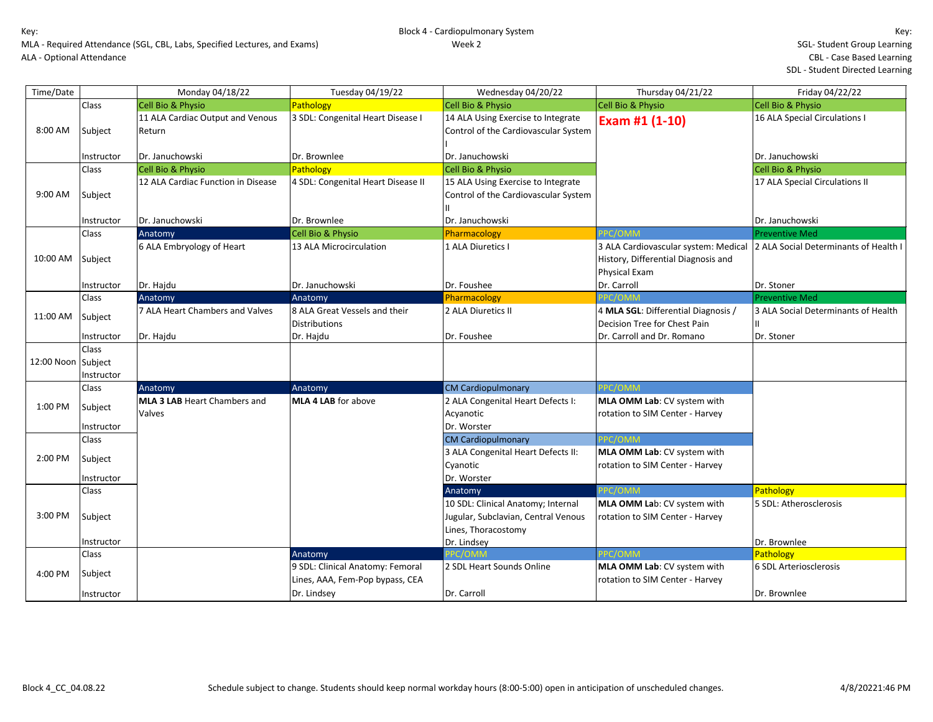| Time/Date          |                       | Monday 04/18/22                               | Tuesday 04/19/22                                                    | Wednesday 04/20/22                                                                               | Thursday 04/21/22                                                                                   | Friday 04/22/22                       |
|--------------------|-----------------------|-----------------------------------------------|---------------------------------------------------------------------|--------------------------------------------------------------------------------------------------|-----------------------------------------------------------------------------------------------------|---------------------------------------|
|                    | Class                 | <b>Cell Bio &amp; Physio</b>                  | Pathology                                                           | <b>Cell Bio &amp; Physio</b>                                                                     | Cell Bio & Physio                                                                                   | Cell Bio & Physio                     |
| 8:00 AM            | Subject               | 11 ALA Cardiac Output and Venous<br>Return    | 3 SDL: Congenital Heart Disease I                                   | 14 ALA Using Exercise to Integrate<br>Control of the Cardiovascular System                       | Exam #1 (1-10)                                                                                      | 16 ALA Special Circulations I         |
|                    | Instructor            | Dr. Januchowski                               | Dr. Brownlee                                                        | Dr. Januchowski                                                                                  |                                                                                                     | Dr. Januchowski                       |
|                    | Class                 | <b>Cell Bio &amp; Physio</b>                  | Pathology                                                           | <b>Cell Bio &amp; Physio</b>                                                                     |                                                                                                     | Cell Bio & Physio                     |
| 9:00 AM            | Subject               | 12 ALA Cardiac Function in Disease            | 4 SDL: Congenital Heart Disease II                                  | 15 ALA Using Exercise to Integrate<br>Control of the Cardiovascular System                       |                                                                                                     | 17 ALA Special Circulations II        |
|                    | Instructor            | Dr. Januchowski                               | Dr. Brownlee                                                        | Dr. Januchowski                                                                                  |                                                                                                     | Dr. Januchowski                       |
|                    | Class                 | Anatomy                                       | Cell Bio & Physio                                                   | Pharmacology                                                                                     | PPC/OMM                                                                                             | <b>Preventive Med</b>                 |
| 10:00 AM           | Subject               | 6 ALA Embryology of Heart                     | 13 ALA Microcirculation                                             | 1 ALA Diuretics I                                                                                | 3 ALA Cardiovascular system: Medical<br>History, Differential Diagnosis and<br><b>Physical Exam</b> | 2 ALA Social Determinants of Health I |
|                    | Instructor            | Dr. Hajdu                                     | Dr. Januchowski                                                     | Dr. Foushee                                                                                      | Dr. Carroll                                                                                         | Dr. Stoner                            |
|                    | Class                 | Anatomy                                       | Anatomy                                                             | Pharmacology                                                                                     | PPC/OMM                                                                                             | <b>Preventive Med</b>                 |
| 11:00 AM           | Subject               | 7 ALA Heart Chambers and Valves               | 8 ALA Great Vessels and their<br>Distributions                      | 2 ALA Diuretics II                                                                               | 4 MLA SGL: Differential Diagnosis /<br>Decision Tree for Chest Pain                                 | 3 ALA Social Determinants of Health   |
|                    | Instructor            | Dr. Hajdu                                     | Dr. Hajdu                                                           | Dr. Foushee                                                                                      | Dr. Carroll and Dr. Romano                                                                          | Dr. Stoner                            |
| 12:00 Noon Subject | Class<br>Instructor   |                                               |                                                                     |                                                                                                  |                                                                                                     |                                       |
|                    | Class                 | Anatomy                                       | Anatomy                                                             | <b>CM Cardiopulmonary</b>                                                                        | PPC/OMM                                                                                             |                                       |
| 1:00 PM            | Subject<br>Instructor | <b>MLA 3 LAB</b> Heart Chambers and<br>Valves | <b>MLA 4 LAB</b> for above                                          | 2 ALA Congenital Heart Defects I:<br>Acyanotic<br>Dr. Worster                                    | MLA OMM Lab: CV system with<br>rotation to SIM Center - Harvey                                      |                                       |
|                    | Class                 |                                               |                                                                     | <b>CM Cardiopulmonary</b>                                                                        | PC/OMM                                                                                              |                                       |
| 2:00 PM            | Subject<br>Instructor |                                               |                                                                     | 3 ALA Congenital Heart Defects II:<br>Cyanotic<br>Dr. Worster                                    | MLA OMM Lab: CV system with<br>rotation to SIM Center - Harvey                                      |                                       |
|                    | Class                 |                                               |                                                                     | Anatomy                                                                                          | PPC/OMM                                                                                             | Pathology                             |
| 3:00 PM            | Subject               |                                               |                                                                     | 10 SDL: Clinical Anatomy; Internal<br>Jugular, Subclavian, Central Venous<br>Lines, Thoracostomy | MLA OMM Lab: CV system with<br>rotation to SIM Center - Harvey                                      | 5 SDL: Atherosclerosis                |
|                    | Instructor            |                                               |                                                                     | Dr. Lindsey                                                                                      |                                                                                                     | Dr. Brownlee                          |
|                    | Class                 |                                               | Anatomy                                                             |                                                                                                  | PC/OMM                                                                                              | Pathology                             |
| 4:00 PM            | Subject               |                                               | 9 SDL: Clinical Anatomy: Femoral<br>Lines, AAA, Fem-Pop bypass, CEA | 2 SDL Heart Sounds Online                                                                        | MLA OMM Lab: CV system with<br>rotation to SIM Center - Harvey                                      | 6 SDL Arteriosclerosis                |
|                    | Instructor            |                                               | Dr. Lindsey                                                         | Dr. Carroll                                                                                      |                                                                                                     | Dr. Brownlee                          |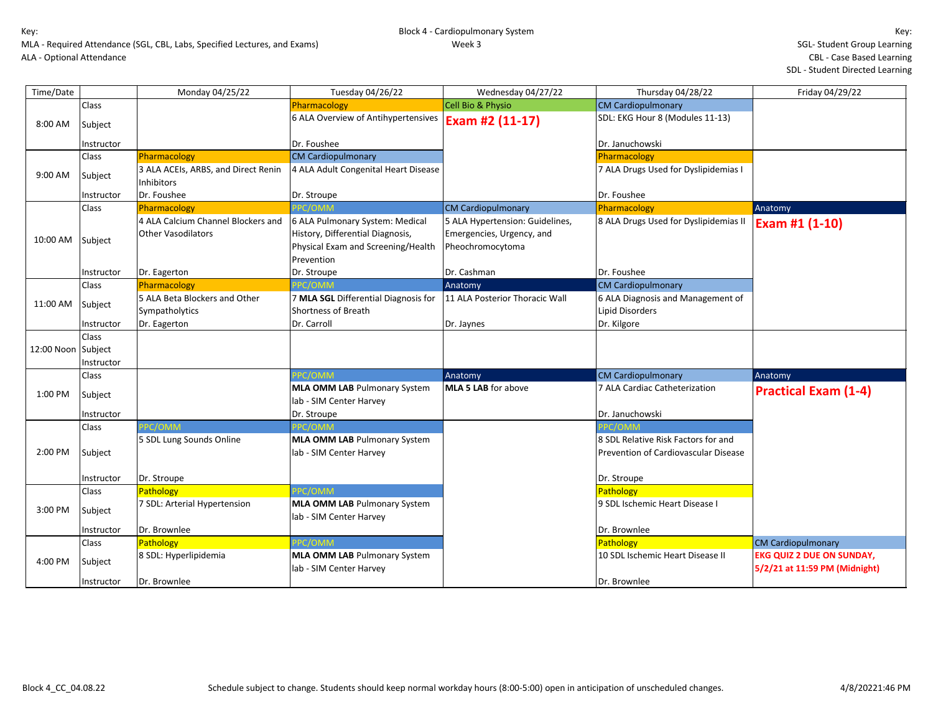| Time/Date          |            | Monday 04/25/22                     | Tuesday 04/26/22                     | Wednesday 04/27/22              | Thursday 04/28/22                     | Friday 04/29/22                  |
|--------------------|------------|-------------------------------------|--------------------------------------|---------------------------------|---------------------------------------|----------------------------------|
|                    | Class      |                                     | Pharmacology                         | Cell Bio & Physio               | <b>CM Cardiopulmonary</b>             |                                  |
| 8:00 AM            | Subject    |                                     | 6 ALA Overview of Antihypertensives  | Exam #2 (11-17)                 | SDL: EKG Hour 8 (Modules 11-13)       |                                  |
|                    |            |                                     |                                      |                                 |                                       |                                  |
|                    | Instructor |                                     | Dr. Foushee                          |                                 | Dr. Januchowski                       |                                  |
|                    | Class      | Pharmacology                        | <b>CM Cardiopulmonary</b>            |                                 | Pharmacology                          |                                  |
| 9:00 AM            | Subject    | 3 ALA ACEIs, ARBS, and Direct Renin | 4 ALA Adult Congenital Heart Disease |                                 | 7 ALA Drugs Used for Dyslipidemias I  |                                  |
|                    |            | <b>Inhibitors</b>                   |                                      |                                 |                                       |                                  |
|                    | Instructor | Dr. Foushee<br>Pharmacology         | Dr. Stroupe<br>PPC/OMM               | <b>CM Cardiopulmonary</b>       | Dr. Foushee<br>Pharmacology           |                                  |
|                    | Class      | 4 ALA Calcium Channel Blockers and  | 6 ALA Pulmonary System: Medical      | 5 ALA Hypertension: Guidelines, | 8 ALA Drugs Used for Dyslipidemias II | Anatomy                          |
|                    |            | <b>Other Vasodilators</b>           | History, Differential Diagnosis,     | Emergencies, Urgency, and       |                                       | Exam #1 (1-10)                   |
| 10:00 AM           | Subject    |                                     |                                      |                                 |                                       |                                  |
|                    |            |                                     | Physical Exam and Screening/Health   | Pheochromocytoma                |                                       |                                  |
|                    |            |                                     | Prevention                           |                                 |                                       |                                  |
|                    | Instructor | Dr. Eagerton                        | Dr. Stroupe                          | Dr. Cashman                     | Dr. Foushee                           |                                  |
|                    | Class      | Pharmacology                        | PPC/OMM                              | Anatomy                         | <b>CM Cardiopulmonary</b>             |                                  |
| 11:00 AM           | Subject    | 5 ALA Beta Blockers and Other       | 7 MLA SGL Differential Diagnosis for | 11 ALA Posterior Thoracic Wall  | 6 ALA Diagnosis and Management of     |                                  |
|                    |            | Sympatholytics                      | <b>Shortness of Breath</b>           |                                 | Lipid Disorders                       |                                  |
|                    | Instructor | Dr. Eagerton                        | Dr. Carroll                          | Dr. Jaynes                      | Dr. Kilgore                           |                                  |
|                    | Class      |                                     |                                      |                                 |                                       |                                  |
| 12:00 Noon Subject |            |                                     |                                      |                                 |                                       |                                  |
|                    | Instructor |                                     |                                      |                                 |                                       |                                  |
|                    | Class      |                                     | PC/OMM                               | Anatomy                         | <b>CM Cardiopulmonary</b>             | Anatomy                          |
| 1:00 PM            | Subject    |                                     | <b>MLA OMM LAB Pulmonary System</b>  | <b>MLA 5 LAB</b> for above      | 7 ALA Cardiac Catheterization         | <b>Practical Exam (1-4)</b>      |
|                    |            |                                     | lab - SIM Center Harvey              |                                 |                                       |                                  |
|                    | Instructor |                                     | Dr. Stroupe                          |                                 | Dr. Januchowski                       |                                  |
|                    | Class      | PC/OMM                              | PC/OMM                               |                                 |                                       |                                  |
|                    |            | 5 SDL Lung Sounds Online            | <b>MLA OMM LAB Pulmonary System</b>  |                                 | 8 SDL Relative Risk Factors for and   |                                  |
| 2:00 PM            | Subject    |                                     | lab - SIM Center Harvey              |                                 | Prevention of Cardiovascular Disease  |                                  |
|                    |            |                                     |                                      |                                 |                                       |                                  |
|                    | Instructor | Dr. Stroupe                         |                                      |                                 | Dr. Stroupe                           |                                  |
|                    | Class      | Pathology                           | PPC/OMM                              |                                 | Pathology                             |                                  |
| 3:00 PM            | Subject    | 7 SDL: Arterial Hypertension        | <b>MLA OMM LAB Pulmonary System</b>  |                                 | 9 SDL Ischemic Heart Disease I        |                                  |
|                    |            |                                     | lab - SIM Center Harvey              |                                 |                                       |                                  |
|                    | Instructor | Dr. Brownlee                        |                                      |                                 | Dr. Brownlee                          |                                  |
|                    | Class      | Pathology                           | PPC/OMM                              |                                 | Pathology                             | <b>CM Cardiopulmonary</b>        |
| 4:00 PM            | Subject    | 8 SDL: Hyperlipidemia               | <b>MLA OMM LAB Pulmonary System</b>  |                                 | 10 SDL Ischemic Heart Disease II      | <b>EKG QUIZ 2 DUE ON SUNDAY,</b> |
|                    |            |                                     | lab - SIM Center Harvey              |                                 |                                       | 5/2/21 at 11:59 PM (Midnight)    |
|                    | Instructor | Dr. Brownlee                        |                                      |                                 | Dr. Brownlee                          |                                  |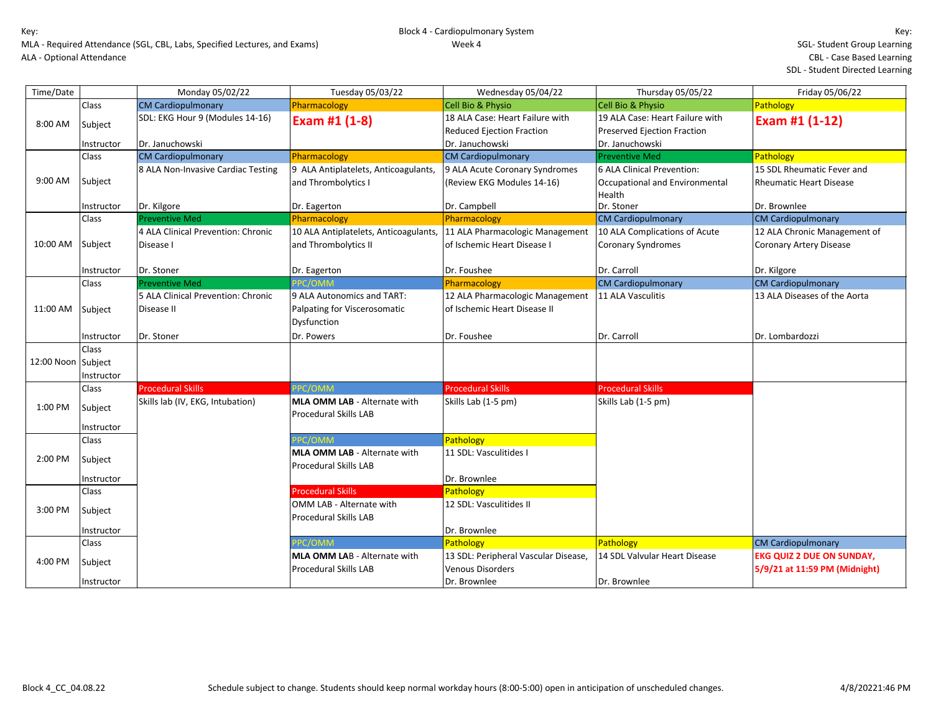| Time/Date          |              | Monday 05/02/22                                  | Tuesday 05/03/22                                                          | Wednesday 05/04/22                                                  | Thursday 05/05/22                                                     | Friday 05/06/22                  |
|--------------------|--------------|--------------------------------------------------|---------------------------------------------------------------------------|---------------------------------------------------------------------|-----------------------------------------------------------------------|----------------------------------|
|                    | Class        | <b>CM Cardiopulmonary</b>                        | Pharmacology                                                              | <b>Cell Bio &amp; Physio</b>                                        | Cell Bio & Physio                                                     | Pathology                        |
| 8:00 AM            | Subject      | SDL: EKG Hour 9 (Modules 14-16)                  | Exam #1 (1-8)                                                             | 18 ALA Case: Heart Failure with<br><b>Reduced Ejection Fraction</b> | 19 ALA Case: Heart Failure with<br><b>Preserved Ejection Fraction</b> | Exam #1 (1-12)                   |
|                    | Instructor   | Dr. Januchowski                                  |                                                                           | Dr. Januchowski                                                     | Dr. Januchowski                                                       |                                  |
|                    | Class        | <b>CM Cardiopulmonary</b>                        | Pharmacology                                                              | <b>CM Cardiopulmonary</b>                                           | <b>Preventive Med</b>                                                 | Pathology                        |
|                    |              | 8 ALA Non-Invasive Cardiac Testing               | 9 ALA Antiplatelets, Anticoagulants,                                      | 9 ALA Acute Coronary Syndromes                                      | 6 ALA Clinical Prevention:                                            | 15 SDL Rheumatic Fever and       |
| 9:00 AM            | Subject      |                                                  | and Thrombolytics I                                                       | (Review EKG Modules 14-16)                                          | Occupational and Environmental<br>Health                              | <b>Rheumatic Heart Disease</b>   |
|                    | Instructor   | Dr. Kilgore                                      | Dr. Eagerton                                                              | Dr. Campbell                                                        | Dr. Stoner                                                            | Dr. Brownlee                     |
|                    | Class        | <b>Preventive Med</b>                            | Pharmacology                                                              | Pharmacology                                                        | <b>CM Cardiopulmonary</b>                                             | <b>CM Cardiopulmonary</b>        |
|                    |              | 4 ALA Clinical Prevention: Chronic               | 10 ALA Antiplatelets, Anticoagulants,                                     | 11 ALA Pharmacologic Management                                     | 10 ALA Complications of Acute                                         | 12 ALA Chronic Management of     |
| 10:00 AM           | Subject      | Disease I                                        | and Thrombolytics II                                                      | of Ischemic Heart Disease I                                         | <b>Coronary Syndromes</b>                                             | Coronary Artery Disease          |
|                    | Instructor   | Dr. Stoner                                       | Dr. Eagerton                                                              | Dr. Foushee                                                         | Dr. Carroll                                                           | Dr. Kilgore                      |
|                    | Class        | <b>Preventive Med</b>                            | PPC/OMM                                                                   | Pharmacology                                                        | <b>CM Cardiopulmonary</b>                                             | <b>CM Cardiopulmonary</b>        |
| 11:00 AM           | Subject      | 5 ALA Clinical Prevention: Chronic<br>Disease II | 9 ALA Autonomics and TART:<br>Palpating for Viscerosomatic<br>Dysfunction | 12 ALA Pharmacologic Management<br>of Ischemic Heart Disease II     | 11 ALA Vasculitis                                                     | 13 ALA Diseases of the Aorta     |
|                    | Instructor   | Dr. Stoner                                       | Dr. Powers                                                                | Dr. Foushee                                                         | Dr. Carroll                                                           | Dr. Lombardozzi                  |
|                    | <b>Class</b> |                                                  |                                                                           |                                                                     |                                                                       |                                  |
| 12:00 Noon Subject |              |                                                  |                                                                           |                                                                     |                                                                       |                                  |
|                    | Instructor   |                                                  |                                                                           |                                                                     |                                                                       |                                  |
|                    | Class        | <b>Procedural Skills</b>                         | PPC/OMM                                                                   | <b>Procedural Skills</b>                                            | <b>Procedural Skills</b>                                              |                                  |
| 1:00 PM            | Subject      | Skills lab (IV, EKG, Intubation)                 | MLA OMM LAB - Alternate with<br><b>Procedural Skills LAB</b>              | Skills Lab (1-5 pm)                                                 | Skills Lab (1-5 pm)                                                   |                                  |
|                    | Instructor   |                                                  |                                                                           |                                                                     |                                                                       |                                  |
|                    | Class        |                                                  | PC/OMM                                                                    | Pathology                                                           |                                                                       |                                  |
| 2:00 PM            | Subject      |                                                  | MLA OMM LAB - Alternate with<br><b>Procedural Skills LAB</b>              | 11 SDL: Vasculitides I                                              |                                                                       |                                  |
|                    | Instructor   |                                                  |                                                                           | Dr. Brownlee                                                        |                                                                       |                                  |
|                    | Class        |                                                  | <b>Procedural Skills</b>                                                  | Pathology                                                           |                                                                       |                                  |
|                    |              |                                                  | OMM LAB - Alternate with                                                  | 12 SDL: Vasculitides II                                             |                                                                       |                                  |
| 3:00 PM            | Subject      |                                                  | Procedural Skills LAB                                                     |                                                                     |                                                                       |                                  |
|                    | Instructor   |                                                  |                                                                           | Dr. Brownlee                                                        |                                                                       |                                  |
|                    | Class        |                                                  | PC/OMM                                                                    | Pathology                                                           | Pathology                                                             | <b>CM Cardiopulmonary</b>        |
| 4:00 PM            | Subject      |                                                  | MLA OMM LAB - Alternate with                                              | 13 SDL: Peripheral Vascular Disease,                                | 14 SDL Valvular Heart Disease                                         | <b>EKG QUIZ 2 DUE ON SUNDAY,</b> |
|                    |              |                                                  | <b>Procedural Skills LAB</b>                                              | <b>Venous Disorders</b>                                             |                                                                       | 5/9/21 at 11:59 PM (Midnight)    |
|                    | Instructor   |                                                  |                                                                           | Dr. Brownlee                                                        | Dr. Brownlee                                                          |                                  |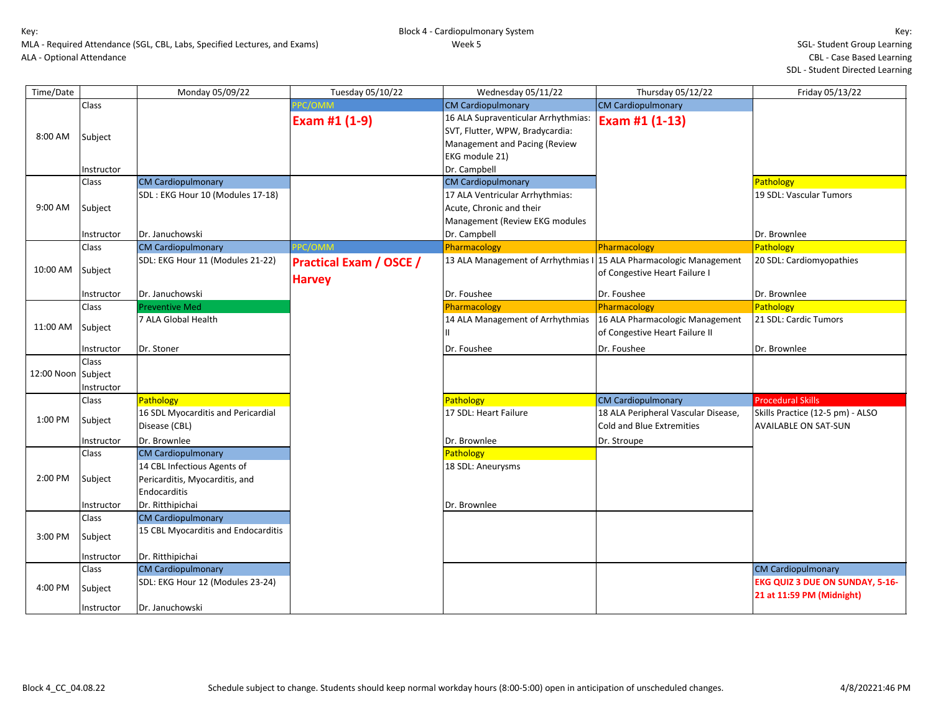| Time/Date          |              | Monday 05/09/22                                                               | Tuesday 05/10/22                                | Wednesday 05/11/22                                                                                                        | Thursday 05/12/22                                                       | Friday 05/13/22                                                     |
|--------------------|--------------|-------------------------------------------------------------------------------|-------------------------------------------------|---------------------------------------------------------------------------------------------------------------------------|-------------------------------------------------------------------------|---------------------------------------------------------------------|
|                    | Class        |                                                                               | PC/OMM                                          | <b>CM Cardiopulmonary</b>                                                                                                 | <b>CM Cardiopulmonary</b>                                               |                                                                     |
| 8:00 AM            | Subject      |                                                                               | Exam #1 (1-9)                                   | 16 ALA Supraventicular Arrhythmias:<br>SVT, Flutter, WPW, Bradycardia:<br>Management and Pacing (Review<br>EKG module 21) | Exam #1 (1-13)                                                          |                                                                     |
|                    | Instructor   |                                                                               |                                                 | Dr. Campbell                                                                                                              |                                                                         |                                                                     |
|                    | Class        | <b>CM Cardiopulmonary</b>                                                     |                                                 | <b>CM Cardiopulmonary</b>                                                                                                 |                                                                         | Pathology                                                           |
| 9:00 AM            | Subject      | SDL: EKG Hour 10 (Modules 17-18)                                              |                                                 | 17 ALA Ventricular Arrhythmias:<br>Acute, Chronic and their<br>Management (Review EKG modules                             |                                                                         | 19 SDL: Vascular Tumors                                             |
|                    | Instructor   | Dr. Januchowski                                                               |                                                 | Dr. Campbell                                                                                                              |                                                                         | Dr. Brownlee                                                        |
|                    | Class        | <b>CM Cardiopulmonary</b>                                                     | PC/OMM                                          | Pharmacology                                                                                                              | Pharmacology                                                            | Pathology                                                           |
| 10:00 AM           | Subject      | SDL: EKG Hour 11 (Modules 21-22)                                              | <b>Practical Exam / OSCE /</b><br><b>Harvey</b> | 13 ALA Management of Arrhythmias I 15 ALA Pharmacologic Management                                                        | of Congestive Heart Failure I                                           | 20 SDL: Cardiomyopathies                                            |
|                    | Instructor   | Dr. Januchowski                                                               |                                                 | Dr. Foushee                                                                                                               | Dr. Foushee                                                             | Dr. Brownlee                                                        |
|                    | Class        | <b>Preventive Med</b>                                                         |                                                 | Pharmacology                                                                                                              | Pharmacology                                                            | Pathology                                                           |
| 11:00 AM           | Subject      | 7 ALA Global Health                                                           |                                                 | 14 ALA Management of Arrhythmias                                                                                          | 16 ALA Pharmacologic Management<br>of Congestive Heart Failure II       | 21 SDL: Cardic Tumors                                               |
|                    | Instructor   | Dr. Stoner                                                                    |                                                 | Dr. Foushee                                                                                                               | Dr. Foushee                                                             | Dr. Brownlee                                                        |
|                    | <b>Class</b> |                                                                               |                                                 |                                                                                                                           |                                                                         |                                                                     |
| 12:00 Noon Subject |              |                                                                               |                                                 |                                                                                                                           |                                                                         |                                                                     |
|                    | Instructor   |                                                                               |                                                 |                                                                                                                           |                                                                         |                                                                     |
|                    | Class        | Pathology                                                                     |                                                 | Pathology                                                                                                                 | <b>CM Cardiopulmonary</b>                                               | <b>Procedural Skills</b>                                            |
| 1:00 PM            | Subject      | 16 SDL Myocarditis and Pericardial<br>Disease (CBL)                           |                                                 | 17 SDL: Heart Failure                                                                                                     | 18 ALA Peripheral Vascular Disease,<br><b>Cold and Blue Extremities</b> | Skills Practice (12-5 pm) - ALSO<br><b>AVAILABLE ON SAT-SUN</b>     |
|                    | Instructor   | Dr. Brownlee                                                                  |                                                 | Dr. Brownlee                                                                                                              | Dr. Stroupe                                                             |                                                                     |
|                    | Class        | <b>CM Cardiopulmonary</b>                                                     |                                                 | Pathology                                                                                                                 |                                                                         |                                                                     |
| 2:00 PM            | Subject      | 14 CBL Infectious Agents of<br>Pericarditis, Myocarditis, and<br>Endocarditis |                                                 | 18 SDL: Aneurysms                                                                                                         |                                                                         |                                                                     |
|                    | Instructor   | Dr. Ritthipichai                                                              |                                                 | Dr. Brownlee                                                                                                              |                                                                         |                                                                     |
|                    | Class        | <b>CM Cardiopulmonary</b>                                                     |                                                 |                                                                                                                           |                                                                         |                                                                     |
| 3:00 PM            | Subject      | 15 CBL Myocarditis and Endocarditis                                           |                                                 |                                                                                                                           |                                                                         |                                                                     |
|                    | Instructor   | Dr. Ritthipichai                                                              |                                                 |                                                                                                                           |                                                                         |                                                                     |
|                    | Class        | <b>CM Cardiopulmonary</b>                                                     |                                                 |                                                                                                                           |                                                                         | <b>CM Cardiopulmonary</b>                                           |
| 4:00 PM            | Subject      | SDL: EKG Hour 12 (Modules 23-24)                                              |                                                 |                                                                                                                           |                                                                         | <b>EKG QUIZ 3 DUE ON SUNDAY, 5-16-</b><br>21 at 11:59 PM (Midnight) |
|                    | Instructor   | Dr. Januchowski                                                               |                                                 |                                                                                                                           |                                                                         |                                                                     |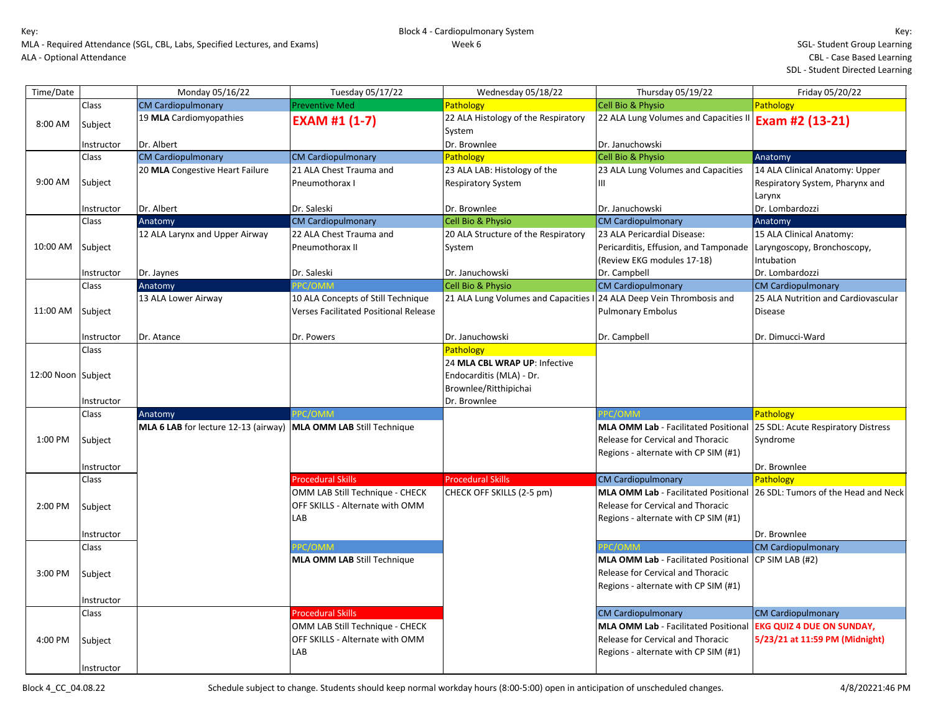| Time/Date          |            | Monday 05/16/22                                                    | Tuesday 05/17/22                             | Wednesday 05/18/22                                                   | Thursday 05/19/22                                                         | Friday 05/20/22                      |
|--------------------|------------|--------------------------------------------------------------------|----------------------------------------------|----------------------------------------------------------------------|---------------------------------------------------------------------------|--------------------------------------|
|                    | Class      | <b>CM Cardiopulmonary</b>                                          | <b>Preventive Med</b>                        | Pathology                                                            | Cell Bio & Physio                                                         | Pathology                            |
| 8:00 AM            | Subject    | 19 MLA Cardiomyopathies                                            | <b>EXAM #1 (1-7)</b>                         | 22 ALA Histology of the Respiratory                                  | 22 ALA Lung Volumes and Capacities II $\mathsf{\mathsf{Exam}}$ #2 (13-21) |                                      |
|                    | Instructor | Dr. Albert                                                         |                                              | System<br>Dr. Brownlee                                               | Dr. Januchowski                                                           |                                      |
|                    | Class      | <b>CM Cardiopulmonary</b>                                          | <b>CM Cardiopulmonary</b>                    | Pathology                                                            | <b>Cell Bio &amp; Physio</b>                                              | Anatomy                              |
|                    |            | 20 MLA Congestive Heart Failure                                    | 21 ALA Chest Trauma and                      | 23 ALA LAB: Histology of the                                         | 23 ALA Lung Volumes and Capacities                                        | 14 ALA Clinical Anatomy: Upper       |
| 9:00 AM            | Subject    |                                                                    | Pneumothorax I                               | <b>Respiratory System</b>                                            | Ш                                                                         | Respiratory System, Pharynx and      |
|                    |            |                                                                    |                                              |                                                                      |                                                                           | Larynx                               |
|                    | Instructor | Dr. Albert                                                         | Dr. Saleski                                  | Dr. Brownlee                                                         | Dr. Januchowski                                                           | Dr. Lombardozzi                      |
|                    | Class      | Anatomy                                                            | <b>CM Cardiopulmonary</b>                    | Cell Bio & Physio                                                    | <b>CM Cardiopulmonary</b>                                                 | Anatomy                              |
|                    |            | 12 ALA Larynx and Upper Airway                                     | 22 ALA Chest Trauma and                      | 20 ALA Structure of the Respiratory                                  | 23 ALA Pericardial Disease:                                               | 15 ALA Clinical Anatomy:             |
| 10:00 AM           | Subject    |                                                                    | Pneumothorax II                              | System                                                               | Pericarditis, Effusion, and Tamponade                                     | Laryngoscopy, Bronchoscopy,          |
|                    |            |                                                                    |                                              |                                                                      | (Review EKG modules 17-18)                                                | Intubation                           |
|                    | Instructor | Dr. Jaynes                                                         | Dr. Saleski                                  | Dr. Januchowski                                                      | Dr. Campbell                                                              | Dr. Lombardozzi                      |
|                    | Class      | Anatomy                                                            | PC/OMM                                       | Cell Bio & Physio                                                    | <b>CM Cardiopulmonary</b>                                                 | <b>CM Cardiopulmonary</b>            |
|                    |            | 13 ALA Lower Airway                                                | 10 ALA Concepts of Still Technique           | 21 ALA Lung Volumes and Capacities I 24 ALA Deep Vein Thrombosis and |                                                                           | 25 ALA Nutrition and Cardiovascular  |
| 11:00 AM           | Subject    |                                                                    | <b>Verses Facilitated Positional Release</b> |                                                                      | <b>Pulmonary Embolus</b>                                                  | <b>Disease</b>                       |
|                    |            |                                                                    |                                              |                                                                      |                                                                           |                                      |
|                    | Instructor | Dr. Atance                                                         | Dr. Powers                                   | Dr. Januchowski                                                      | Dr. Campbell                                                              | Dr. Dimucci-Ward                     |
|                    | Class      |                                                                    |                                              | Pathology                                                            |                                                                           |                                      |
|                    |            |                                                                    |                                              | 24 MLA CBL WRAP UP: Infective                                        |                                                                           |                                      |
| 12:00 Noon Subject |            |                                                                    |                                              | Endocarditis (MLA) - Dr.                                             |                                                                           |                                      |
|                    |            |                                                                    |                                              | Brownlee/Ritthipichai                                                |                                                                           |                                      |
|                    | Instructor |                                                                    |                                              | Dr. Brownlee                                                         |                                                                           |                                      |
|                    | Class      | Anatomy                                                            | PC/OMM                                       |                                                                      | PC/OMM                                                                    | Pathology                            |
|                    |            | MLA 6 LAB for lecture 12-13 (airway)   MLA OMM LAB Still Technique |                                              |                                                                      | <b>MLA OMM Lab - Facilitated Positional</b>                               | 25 SDL: Acute Respiratory Distress   |
| 1:00 PM            | Subject    |                                                                    |                                              |                                                                      | Release for Cervical and Thoracic                                         | Syndrome                             |
|                    |            |                                                                    |                                              |                                                                      | Regions - alternate with CP SIM (#1)                                      |                                      |
|                    | Instructor |                                                                    |                                              |                                                                      |                                                                           | Dr. Brownlee                         |
|                    | Class      |                                                                    | <b>Procedural Skills</b>                     | <b>Procedural Skills</b>                                             | <b>CM Cardiopulmonary</b>                                                 | Pathology                            |
|                    |            |                                                                    | OMM LAB Still Technique - CHECK              | CHECK OFF SKILLS (2-5 pm)                                            | <b>MLA OMM Lab - Facilitated Positional</b>                               | 126 SDL: Tumors of the Head and Neck |
| 2:00 PM            | Subject    |                                                                    | OFF SKILLS - Alternate with OMM              |                                                                      | Release for Cervical and Thoracic                                         |                                      |
|                    |            |                                                                    | LAB                                          |                                                                      | Regions - alternate with CP SIM (#1)                                      |                                      |
|                    | Instructor |                                                                    |                                              |                                                                      |                                                                           | Dr. Brownlee                         |
|                    | Class      |                                                                    | PC/OMM                                       |                                                                      | PC/OMM                                                                    | <b>CM Cardiopulmonary</b>            |
|                    |            |                                                                    | <b>MLA OMM LAB Still Technique</b>           |                                                                      | MLA OMM Lab - Facilitated Positional                                      | CP SIM LAB (#2)                      |
| 3:00 PM            | Subject    |                                                                    |                                              |                                                                      | Release for Cervical and Thoracic                                         |                                      |
|                    |            |                                                                    |                                              |                                                                      | Regions - alternate with CP SIM (#1)                                      |                                      |
|                    | Instructor |                                                                    |                                              |                                                                      |                                                                           |                                      |
|                    | Class      |                                                                    | <b>Procedural Skills</b>                     |                                                                      | <b>CM Cardiopulmonary</b>                                                 | <b>CM Cardiopulmonary</b>            |
|                    |            |                                                                    | OMM LAB Still Technique - CHECK              |                                                                      | <b>MLA OMM Lab - Facilitated Positional</b>                               | <b>EKG QUIZ 4 DUE ON SUNDAY,</b>     |
| 4:00 PM            | Subject    |                                                                    | OFF SKILLS - Alternate with OMM              |                                                                      | <b>Release for Cervical and Thoracic</b>                                  | 5/23/21 at 11:59 PM (Midnight)       |
|                    |            |                                                                    | LAB                                          |                                                                      | Regions - alternate with CP SIM (#1)                                      |                                      |
|                    | Instructor |                                                                    |                                              |                                                                      |                                                                           |                                      |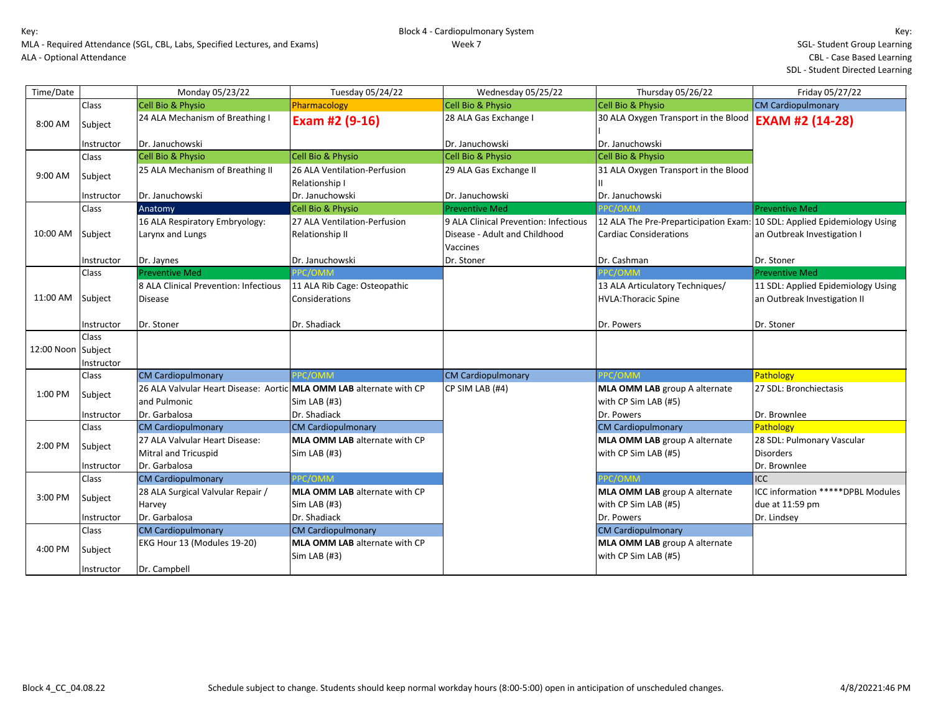| Time/Date          |              | Monday 05/23/22                                                     | Tuesday 05/24/22                     | Wednesday 05/25/22                    | Thursday 05/26/22                                                        | Friday 05/27/22                    |
|--------------------|--------------|---------------------------------------------------------------------|--------------------------------------|---------------------------------------|--------------------------------------------------------------------------|------------------------------------|
|                    | Class        | Cell Bio & Physio                                                   | Pharmacology                         | <b>Cell Bio &amp; Physio</b>          | Cell Bio & Physio                                                        | <b>CM Cardiopulmonary</b>          |
| 8:00 AM            | Subject      | 24 ALA Mechanism of Breathing I                                     | Exam #2 (9-16)                       | 28 ALA Gas Exchange I                 | 30 ALA Oxygen Transport in the Blood                                     | <b>EXAM #2 (14-28)</b>             |
|                    |              |                                                                     |                                      |                                       |                                                                          |                                    |
|                    | Instructor   | Dr. Januchowski                                                     |                                      | Dr. Januchowski                       | Dr. Januchowski                                                          |                                    |
|                    | Class        | <b>Cell Bio &amp; Physio</b>                                        | Cell Bio & Physio                    | Cell Bio & Physio                     | Cell Bio & Physio                                                        |                                    |
| 9:00 AM            | Subject      | 25 ALA Mechanism of Breathing II                                    | 26 ALA Ventilation-Perfusion         | 29 ALA Gas Exchange II                | 31 ALA Oxygen Transport in the Blood                                     |                                    |
|                    |              |                                                                     | Relationship I                       |                                       |                                                                          |                                    |
|                    | Instructor   | Dr. Januchowski                                                     | Dr. Januchowski                      | Dr. Januchowski                       | Dr. Januchowski                                                          |                                    |
|                    | <b>Class</b> | Anatomy                                                             | <b>Cell Bio &amp; Physio</b>         | <b>Preventive Med</b>                 | PPC/OMM                                                                  | <b>Preventive Med</b>              |
|                    |              | 16 ALA Respiratory Embryology:                                      | 27 ALA Ventilation-Perfusion         | 9 ALA Clinical Prevention: Infectious | 12 ALA The Pre-Preparticipation Exam: 10 SDL: Applied Epidemiology Using |                                    |
| 10:00 AM Subject   |              | Larynx and Lungs                                                    | Relationship II                      | Disease - Adult and Childhood         | <b>Cardiac Considerations</b>                                            | an Outbreak Investigation I        |
|                    |              |                                                                     |                                      | Vaccines                              |                                                                          |                                    |
|                    | Instructor   | Dr. Jaynes                                                          | Dr. Januchowski                      | Dr. Stoner                            | Dr. Cashman                                                              | Dr. Stoner                         |
|                    | Class        | <b>Preventive Med</b>                                               | PPC/OMM                              |                                       | PPC/OMM                                                                  | <b>Preventive Med</b>              |
|                    |              | 8 ALA Clinical Prevention: Infectious                               | 11 ALA Rib Cage: Osteopathic         |                                       | 13 ALA Articulatory Techniques/                                          | 11 SDL: Applied Epidemiology Using |
| 11:00 AM Subject   |              | <b>Disease</b>                                                      | Considerations                       |                                       | <b>HVLA: Thoracic Spine</b>                                              | an Outbreak Investigation II       |
|                    |              |                                                                     |                                      |                                       |                                                                          |                                    |
|                    | Instructor   | Dr. Stoner                                                          | Dr. Shadiack                         |                                       | Dr. Powers                                                               | Dr. Stoner                         |
|                    | <b>Class</b> |                                                                     |                                      |                                       |                                                                          |                                    |
| 12:00 Noon Subject |              |                                                                     |                                      |                                       |                                                                          |                                    |
|                    | Instructor   |                                                                     |                                      |                                       |                                                                          |                                    |
|                    | <b>Class</b> | <b>CM Cardiopulmonary</b>                                           | PPC/OMM                              | <b>CM Cardiopulmonary</b>             | PPC/OMM                                                                  | Pathology                          |
| 1:00 PM            | Subject      | 26 ALA Valvular Heart Disease: Aortic MLA OMM LAB alternate with CP |                                      | CP SIM LAB (#4)                       | MLA OMM LAB group A alternate                                            | 27 SDL: Bronchiectasis             |
|                    |              | and Pulmonic                                                        | Sim LAB (#3)                         |                                       | with CP Sim LAB (#5)                                                     |                                    |
|                    | Instructor   | Dr. Garbalosa                                                       | Dr. Shadiack                         |                                       | Dr. Powers                                                               | Dr. Brownlee                       |
|                    | Class        | <b>CM Cardiopulmonary</b>                                           | <b>CM Cardiopulmonary</b>            |                                       | <b>CM Cardiopulmonary</b>                                                | Pathology                          |
| 2:00 PM            | Subject      | 27 ALA Valvular Heart Disease:                                      | MLA OMM LAB alternate with CP        |                                       | MLA OMM LAB group A alternate                                            | 28 SDL: Pulmonary Vascular         |
|                    |              | Mitral and Tricuspid                                                | Sim LAB (#3)                         |                                       | with CP Sim LAB (#5)                                                     | <b>Disorders</b>                   |
|                    | Instructor   | Dr. Garbalosa                                                       |                                      |                                       |                                                                          | Dr. Brownlee                       |
|                    | Class        | <b>CM Cardiopulmonary</b>                                           | PPC/OMM                              |                                       | PPC/OMM                                                                  | <b>ICC</b>                         |
| 3:00 PM            | Subject      | 28 ALA Surgical Valvular Repair /                                   | MLA OMM LAB alternate with CP        |                                       | MLA OMM LAB group A alternate                                            | ICC information ***** DPBL Modules |
|                    |              | Harvey                                                              | Sim LAB (#3)                         |                                       | with CP Sim LAB (#5)                                                     | due at 11:59 pm                    |
|                    | Instructor   | Dr. Garbalosa                                                       | Dr. Shadiack                         |                                       | Dr. Powers                                                               | Dr. Lindsey                        |
|                    | Class        | <b>CM Cardiopulmonary</b>                                           | <b>CM Cardiopulmonary</b>            |                                       | <b>CM Cardiopulmonary</b>                                                |                                    |
| 4:00 PM            |              | EKG Hour 13 (Modules 19-20)                                         | <b>MLA OMM LAB</b> alternate with CP |                                       | <b>MLA OMM LAB</b> group A alternate                                     |                                    |
|                    | Subject      |                                                                     | Sim LAB (#3)                         |                                       | with CP Sim LAB (#5)                                                     |                                    |
|                    | Instructor   | Dr. Campbell                                                        |                                      |                                       |                                                                          |                                    |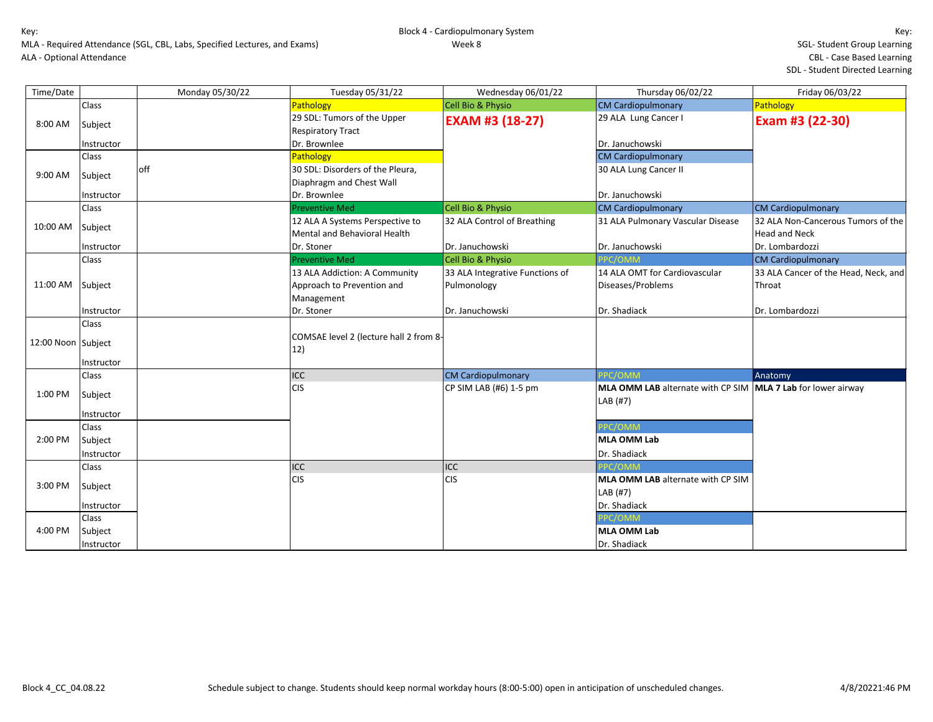| Time/Date          |                     | Monday 05/30/22 | Tuesday 05/31/22                                                       | Wednesday 06/01/22              | Thursday 06/02/22                                                        | Friday 06/03/22                                            |
|--------------------|---------------------|-----------------|------------------------------------------------------------------------|---------------------------------|--------------------------------------------------------------------------|------------------------------------------------------------|
|                    | Class               |                 | Pathology                                                              | Cell Bio & Physio               | <b>CM Cardiopulmonary</b>                                                | Pathology                                                  |
| 8:00 AM            | Subject             |                 | 29 SDL: Tumors of the Upper<br><b>Respiratory Tract</b>                | <b>EXAM #3 (18-27)</b>          | 29 ALA Lung Cancer I                                                     | Exam #3 (22-30)                                            |
|                    | Instructor          |                 | Dr. Brownlee                                                           |                                 | Dr. Januchowski                                                          |                                                            |
|                    | Class               |                 | Pathology                                                              |                                 | <b>CM Cardiopulmonary</b>                                                |                                                            |
| 9:00 AM            | Subject             | off             | 30 SDL: Disorders of the Pleura,<br>Diaphragm and Chest Wall           |                                 | 30 ALA Lung Cancer II                                                    |                                                            |
|                    | Instructor          |                 | Dr. Brownlee                                                           |                                 | Dr. Januchowski                                                          |                                                            |
|                    | Class               |                 | <b>Preventive Med</b>                                                  | Cell Bio & Physio               | <b>CM Cardiopulmonary</b>                                                | <b>CM Cardiopulmonary</b>                                  |
| 10:00 AM           | Subject             |                 | 12 ALA A Systems Perspective to<br><b>Mental and Behavioral Health</b> | 32 ALA Control of Breathing     | 31 ALA Pulmonary Vascular Disease                                        | 32 ALA Non-Cancerous Tumors of the<br><b>Head and Neck</b> |
|                    | Instructor          |                 | Dr. Stoner                                                             | Dr. Januchowski                 | Dr. Januchowski                                                          | Dr. Lombardozzi                                            |
|                    | Class               |                 | <b>Preventive Med</b>                                                  | Cell Bio & Physio               | PPC/OMM                                                                  | <b>CM Cardiopulmonary</b>                                  |
|                    |                     |                 | 13 ALA Addiction: A Community                                          | 33 ALA Integrative Functions of | 14 ALA OMT for Cardiovascular                                            | 33 ALA Cancer of the Head, Neck, and                       |
| 11:00 AM           | Subject             |                 | Approach to Prevention and<br>Management                               | Pulmonology                     | Diseases/Problems                                                        | Throat                                                     |
|                    | Instructor          |                 | Dr. Stoner                                                             | Dr. Januchowski                 | Dr. Shadiack                                                             | Dr. Lombardozzi                                            |
| 12:00 Noon Subject | Class<br>Instructor |                 | COMSAE level 2 (lecture hall 2 from 8-<br>12)                          |                                 |                                                                          |                                                            |
|                    | Class               |                 | ICC                                                                    | <b>CM Cardiopulmonary</b>       | PPC/OMM                                                                  | Anatomy                                                    |
| 1:00 PM            | Subject             |                 | <b>CIS</b>                                                             | CP SIM LAB (#6) 1-5 pm          | MLA OMM LAB alternate with CP SIM MLA 7 Lab for lower airway<br>LAB (#7) |                                                            |
|                    | Instructor          |                 |                                                                        |                                 |                                                                          |                                                            |
|                    | Class               |                 |                                                                        |                                 | PPC/OMM                                                                  |                                                            |
| 2:00 PM            | Subject             |                 |                                                                        |                                 | MLA OMM Lab                                                              |                                                            |
|                    | Instructor          |                 |                                                                        |                                 | Dr. Shadiack                                                             |                                                            |
|                    | Class               |                 | ICC                                                                    | ICC                             | <b>PC/OMM</b>                                                            |                                                            |
| 3:00 PM            | Subject             |                 | <b>CIS</b>                                                             | <b>CIS</b>                      | MLA OMM LAB alternate with CP SIM<br>LAB (#7)                            |                                                            |
|                    | Instructor          |                 |                                                                        |                                 | Dr. Shadiack                                                             |                                                            |
|                    | Class               |                 |                                                                        |                                 | PC/OMM                                                                   |                                                            |
| 4:00 PM            | Subject             |                 |                                                                        |                                 | MLA OMM Lab                                                              |                                                            |
|                    | Instructor          |                 |                                                                        |                                 | Dr. Shadiack                                                             |                                                            |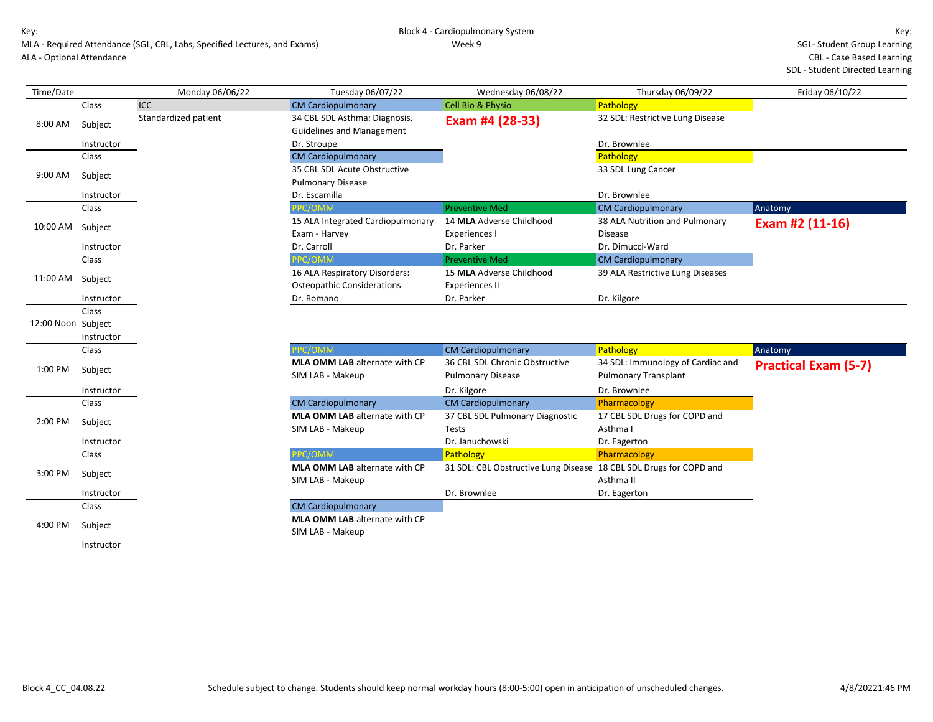| Time/Date          |              | Monday 06/06/22      | Tuesday 06/07/22                     | Wednesday 06/08/22                   | Thursday 06/09/22                 | Friday 06/10/22             |
|--------------------|--------------|----------------------|--------------------------------------|--------------------------------------|-----------------------------------|-----------------------------|
|                    | Class        | <b>ICC</b>           | <b>CM Cardiopulmonary</b>            | Cell Bio & Physio                    | Pathology                         |                             |
| 8:00 AM            | Subject      | Standardized patient | 34 CBL SDL Asthma: Diagnosis,        | Exam #4 (28-33)                      | 32 SDL: Restrictive Lung Disease  |                             |
|                    |              |                      | <b>Guidelines and Management</b>     |                                      |                                   |                             |
|                    | Instructor   |                      | Dr. Stroupe                          |                                      | Dr. Brownlee                      |                             |
|                    | Class        |                      | <b>CM Cardiopulmonary</b>            |                                      | <b>Pathology</b>                  |                             |
| 9:00 AM            | Subject      |                      | 35 CBL SDL Acute Obstructive         |                                      | 33 SDL Lung Cancer                |                             |
|                    |              |                      | <b>Pulmonary Disease</b>             |                                      |                                   |                             |
|                    | Instructor   |                      | Dr. Escamilla                        |                                      | Dr. Brownlee                      |                             |
|                    | Class        |                      | PC/OMM                               | <b>Preventive Med</b>                | <b>CM Cardiopulmonary</b>         | Anatomy                     |
| 10:00 AM           | Subject      |                      | 15 ALA Integrated Cardiopulmonary    | 14 MLA Adverse Childhood             | 38 ALA Nutrition and Pulmonary    | Exam #2 (11-16)             |
|                    |              |                      | Exam - Harvey                        | <b>Experiences I</b>                 | <b>Disease</b>                    |                             |
|                    | Instructor   |                      | Dr. Carroll                          | Dr. Parker                           | Dr. Dimucci-Ward                  |                             |
|                    | Class        |                      | PC/OMM                               | <b>Preventive Med</b>                | <b>CM Cardiopulmonary</b>         |                             |
| 11:00 AM Subject   |              |                      | 16 ALA Respiratory Disorders:        | 15 MLA Adverse Childhood             | 39 ALA Restrictive Lung Diseases  |                             |
|                    |              |                      | <b>Osteopathic Considerations</b>    | <b>Experiences II</b>                |                                   |                             |
|                    | Instructor   |                      | Dr. Romano                           | Dr. Parker                           | Dr. Kilgore                       |                             |
|                    | <b>Class</b> |                      |                                      |                                      |                                   |                             |
| 12:00 Noon Subject |              |                      |                                      |                                      |                                   |                             |
|                    | Instructor   |                      |                                      |                                      |                                   |                             |
|                    | Class        |                      | PPC/OMM                              | <b>CM Cardiopulmonary</b>            | Pathology                         | Anatomy                     |
| 1:00 PM            | Subject      |                      | <b>MLA OMM LAB</b> alternate with CP | 36 CBL SDL Chronic Obstructive       | 34 SDL: Immunology of Cardiac and | <b>Practical Exam (5-7)</b> |
|                    |              |                      | SIM LAB - Makeup                     | <b>Pulmonary Disease</b>             | <b>Pulmonary Transplant</b>       |                             |
|                    | Instructor   |                      |                                      | Dr. Kilgore                          | Dr. Brownlee                      |                             |
|                    | <b>Class</b> |                      | <b>CM Cardiopulmonary</b>            | <b>CM Cardiopulmonary</b>            | Pharmacology                      |                             |
| 2:00 PM            |              |                      | MLA OMM LAB alternate with CP        | 37 CBL SDL Pulmonary Diagnostic      | 17 CBL SDL Drugs for COPD and     |                             |
|                    | Subject      |                      | SIM LAB - Makeup                     | <b>Tests</b>                         | Asthma I                          |                             |
|                    | Instructor   |                      |                                      | Dr. Januchowski                      | Dr. Eagerton                      |                             |
|                    | Class        |                      | PC/OMM                               | Pathology                            | Pharmacology                      |                             |
| 3:00 PM            |              |                      | <b>MLA OMM LAB</b> alternate with CP | 31 SDL: CBL Obstructive Lung Disease | 18 CBL SDL Drugs for COPD and     |                             |
|                    | Subject      |                      | SIM LAB - Makeup                     |                                      | Asthma II                         |                             |
|                    | Instructor   |                      |                                      | Dr. Brownlee                         | Dr. Eagerton                      |                             |
|                    | Class        |                      | <b>CM Cardiopulmonary</b>            |                                      |                                   |                             |
|                    |              |                      | <b>MLA OMM LAB</b> alternate with CP |                                      |                                   |                             |
| 4:00 PM            | Subject      |                      | SIM LAB - Makeup                     |                                      |                                   |                             |
|                    | Instructor   |                      |                                      |                                      |                                   |                             |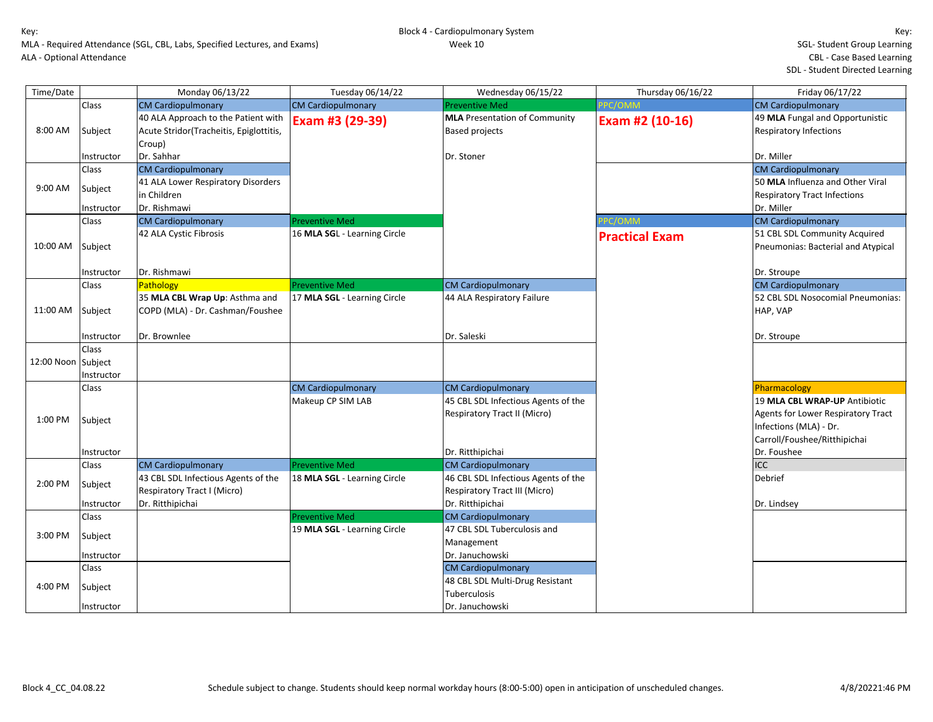| Time/Date          |                            | Monday 06/13/22                                                                          | Tuesday 06/14/22             | Wednesday 06/15/22                                                   | Thursday 06/16/22     | Friday 06/17/22                                                                              |
|--------------------|----------------------------|------------------------------------------------------------------------------------------|------------------------------|----------------------------------------------------------------------|-----------------------|----------------------------------------------------------------------------------------------|
|                    | Class                      | <b>CM Cardiopulmonary</b>                                                                | <b>CM Cardiopulmonary</b>    | <b>Preventive Med</b>                                                | PPC/OMM               | <b>CM Cardiopulmonary</b>                                                                    |
| 8:00 AM            | Subject                    | 40 ALA Approach to the Patient with<br>Acute Stridor(Tracheitis, Epiglottitis,<br>Croup) | Exam #3 (29-39)              | <b>MLA</b> Presentation of Community<br><b>Based projects</b>        | Exam #2 (10-16)       | 49 MLA Fungal and Opportunistic<br><b>Respiratory Infections</b>                             |
|                    | Instructor                 | Dr. Sahhar                                                                               |                              | Dr. Stoner                                                           |                       | Dr. Miller                                                                                   |
|                    | Class                      | <b>CM Cardiopulmonary</b>                                                                |                              |                                                                      |                       | <b>CM Cardiopulmonary</b>                                                                    |
| 9:00 AM            | Subject                    | 41 ALA Lower Respiratory Disorders<br>in Children                                        |                              |                                                                      |                       | 50 MLA Influenza and Other Viral<br><b>Respiratory Tract Infections</b>                      |
|                    | Instructor                 | Dr. Rishmawi                                                                             |                              |                                                                      |                       | Dr. Miller                                                                                   |
|                    | Class                      | <b>CM Cardiopulmonary</b>                                                                | <b>Preventive Med</b>        |                                                                      | PPC/OMM               | <b>CM Cardiopulmonary</b>                                                                    |
| 10:00 AM Subject   |                            | 42 ALA Cystic Fibrosis                                                                   | 16 MLA SGL - Learning Circle |                                                                      | <b>Practical Exam</b> | 51 CBL SDL Community Acquired<br>Pneumonias: Bacterial and Atypical                          |
|                    | Instructor                 | Dr. Rishmawi                                                                             |                              |                                                                      |                       | Dr. Stroupe                                                                                  |
|                    | Class                      | Pathology                                                                                | <b>Preventive Med</b>        | <b>CM Cardiopulmonary</b>                                            |                       | <b>CM Cardiopulmonary</b>                                                                    |
| 11:00 AM Subject   |                            | 35 MLA CBL Wrap Up: Asthma and<br>COPD (MLA) - Dr. Cashman/Foushee                       | 17 MLA SGL - Learning Circle | 44 ALA Respiratory Failure                                           |                       | 52 CBL SDL Nosocomial Pneumonias:<br>HAP, VAP                                                |
|                    | Instructor                 | Dr. Brownlee                                                                             |                              | Dr. Saleski                                                          |                       | Dr. Stroupe                                                                                  |
| 12:00 Noon Subject | <b>Class</b><br>Instructor |                                                                                          |                              |                                                                      |                       |                                                                                              |
|                    | Class                      |                                                                                          | <b>CM Cardiopulmonary</b>    | <b>CM Cardiopulmonary</b>                                            |                       | Pharmacology                                                                                 |
|                    |                            |                                                                                          | Makeup CP SIM LAB            | 45 CBL SDL Infectious Agents of the                                  |                       | 19 MLA CBL WRAP-UP Antibiotic                                                                |
| 1:00 PM            | Subject                    |                                                                                          |                              | Respiratory Tract II (Micro)                                         |                       | Agents for Lower Respiratory Tract<br>Infections (MLA) - Dr.<br>Carroll/Foushee/Ritthipichai |
|                    | Instructor                 |                                                                                          |                              | Dr. Ritthipichai                                                     |                       | Dr. Foushee                                                                                  |
|                    | Class                      | <b>CM Cardiopulmonary</b>                                                                | <b>Preventive Med</b>        | <b>CM Cardiopulmonary</b>                                            |                       | <b>ICC</b>                                                                                   |
| 2:00 PM            | Subject                    | 43 CBL SDL Infectious Agents of the<br>Respiratory Tract I (Micro)                       | 18 MLA SGL - Learning Circle | 46 CBL SDL Infectious Agents of the<br>Respiratory Tract III (Micro) |                       | Debrief                                                                                      |
|                    | Instructor                 | Dr. Ritthipichai                                                                         |                              | Dr. Ritthipichai                                                     |                       | Dr. Lindsey                                                                                  |
|                    | Class                      |                                                                                          | <b>Preventive Med</b>        | <b>CM Cardiopulmonary</b>                                            |                       |                                                                                              |
| 3:00 PM            | Subject                    |                                                                                          | 19 MLA SGL - Learning Circle | 47 CBL SDL Tuberculosis and<br>Management                            |                       |                                                                                              |
|                    | Instructor                 |                                                                                          |                              | Dr. Januchowski                                                      |                       |                                                                                              |
|                    | Class                      |                                                                                          |                              | <b>CM Cardiopulmonary</b>                                            |                       |                                                                                              |
| 4:00 PM            | Subject                    |                                                                                          |                              | 48 CBL SDL Multi-Drug Resistant<br>Tuberculosis                      |                       |                                                                                              |
|                    | Instructor                 |                                                                                          |                              | Dr. Januchowski                                                      |                       |                                                                                              |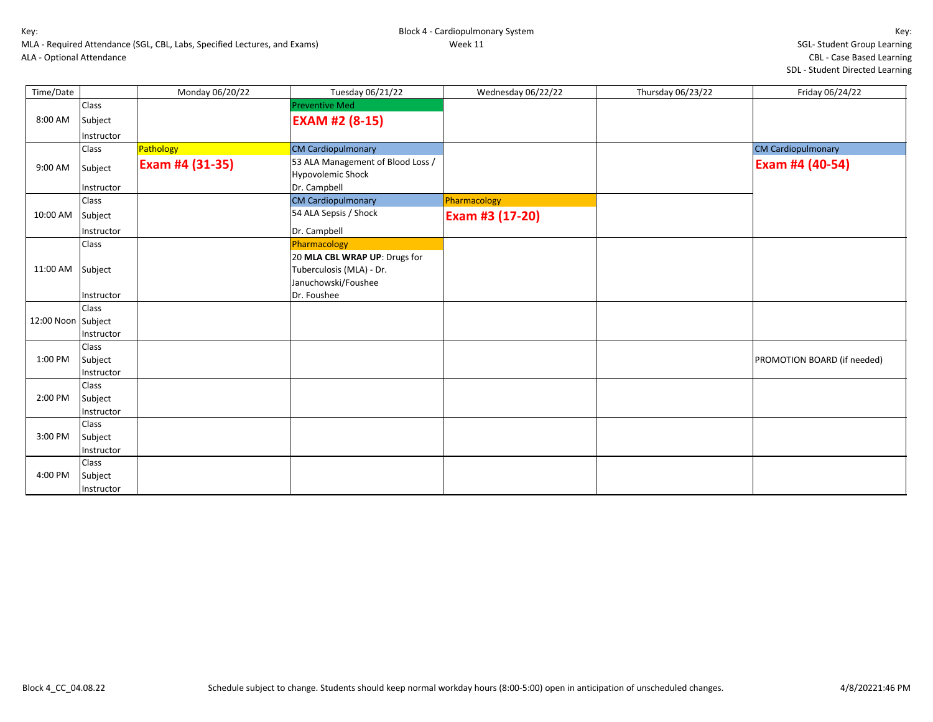Block 4 - Cardiopulmonary System Week 11

Key: SGL- Student Group Learning CBL - Case Based Learning

SDL - Student Directed Learning

|           |                           | MLA - Required Attendance (SGL, CBL, Labs, Specified Lectures, and Exams) |                       | Week 11            |                   |                     |  |
|-----------|---------------------------|---------------------------------------------------------------------------|-----------------------|--------------------|-------------------|---------------------|--|
|           | ALA - Optional Attendance |                                                                           |                       |                    |                   | CBL - Case Ba       |  |
|           |                           |                                                                           |                       |                    |                   | SDL - Student Direo |  |
| Time/Date |                           | Monday 06/20/22                                                           | Tuesday 06/21/22      | Wednesday 06/22/22 | Thursday 06/23/22 | Friday 06/24/22     |  |
|           | Class                     |                                                                           | <b>Preventive Med</b> |                    |                   |                     |  |
| 8:00 AM   | Subject                   |                                                                           | <b>EXAM #2 (8-15)</b> |                    |                   |                     |  |
|           | <b>Instructor</b>         |                                                                           |                       |                    |                   |                     |  |
|           | C <sub>loc</sub>          | Data                                                                      | CM Cardionulmonary    |                    |                   | CM Cardionulmonary  |  |

|                    | Instructor |                 |                                                               |                 |                             |
|--------------------|------------|-----------------|---------------------------------------------------------------|-----------------|-----------------------------|
|                    | Class      | Pathology       | <b>CM Cardiopulmonary</b>                                     |                 | <b>CM Cardiopulmonary</b>   |
| 9:00 AM            | Subject    | Exam #4 (31-35) | 53 ALA Management of Blood Loss /<br><b>Hypovolemic Shock</b> |                 | Exam #4 (40-54)             |
|                    | Instructor |                 | Dr. Campbell                                                  |                 |                             |
|                    | Class      |                 | <b>CM Cardiopulmonary</b>                                     | Pharmacology    |                             |
| 10:00 AM           | Subject    |                 | 54 ALA Sepsis / Shock                                         | Exam #3 (17-20) |                             |
|                    | Instructor |                 | Dr. Campbell                                                  |                 |                             |
|                    | Class      |                 | Pharmacology                                                  |                 |                             |
|                    |            |                 | 20 MLA CBL WRAP UP: Drugs for                                 |                 |                             |
| 11:00 AM Subject   |            |                 | Tuberculosis (MLA) - Dr.                                      |                 |                             |
|                    |            |                 | Januchowski/Foushee                                           |                 |                             |
|                    | Instructor |                 | Dr. Foushee                                                   |                 |                             |
|                    | Class      |                 |                                                               |                 |                             |
| 12:00 Noon Subject |            |                 |                                                               |                 |                             |
|                    | Instructor |                 |                                                               |                 |                             |
|                    | Class      |                 |                                                               |                 |                             |
| 1:00 PM            | Subject    |                 |                                                               |                 | PROMOTION BOARD (if needed) |
|                    | Instructor |                 |                                                               |                 |                             |
|                    | Class      |                 |                                                               |                 |                             |
| 2:00 PM            | Subject    |                 |                                                               |                 |                             |
|                    | Instructor |                 |                                                               |                 |                             |
|                    | Class      |                 |                                                               |                 |                             |
| 3:00 PM            | Subject    |                 |                                                               |                 |                             |
|                    | Instructor |                 |                                                               |                 |                             |
|                    | Class      |                 |                                                               |                 |                             |
| 4:00 PM            | Subject    |                 |                                                               |                 |                             |
|                    | Instructor |                 |                                                               |                 |                             |